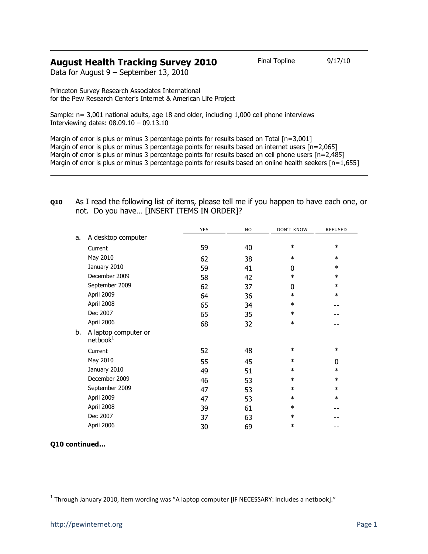## **August Health Tracking Survey 2010** Final Topline 9/17/10

Data for August 9 – September 13, 2010

Princeton Survey Research Associates International for the Pew Research Center's Internet & American Life Project

Sample: n= 3,001 national adults, age 18 and older, including 1,000 cell phone interviews Interviewing dates: 08.09.10 – 09.13.10

Margin of error is plus or minus 3 percentage points for results based on Total [n=3,001] Margin of error is plus or minus 3 percentage points for results based on internet users [n=2,065] Margin of error is plus or minus 3 percentage points for results based on cell phone users [n=2,485] Margin of error is plus or minus 3 percentage points for results based on online health seekers  $[n=1,655]$ 

|                                              | <b>YES</b> | NO | <b>DON'T KNOW</b> | <b>REFUSED</b> |
|----------------------------------------------|------------|----|-------------------|----------------|
| A desktop computer                           |            |    |                   |                |
| Current                                      | 59         | 40 | $\ast$            | $\ast$         |
| May 2010                                     |            |    | $\ast$            | $\ast$         |
| January 2010                                 | 59         | 41 | 0                 | $\ast$         |
| December 2009                                | 58         | 42 | $\ast$            | $\ast$         |
| September 2009                               | 62         | 37 | 0                 | $\ast$         |
| April 2009                                   | 64         | 36 | $\ast$            | $\ast$         |
| April 2008                                   | 65         | 34 | $\ast$            | --             |
| Dec 2007                                     | 65         | 35 | $\ast$            |                |
| April 2006                                   | 68         | 32 | $\ast$            |                |
| A laptop computer or<br>netbook <sup>1</sup> |            |    |                   |                |
| Current                                      | 52         | 48 | $\ast$            | $\ast$         |
| May 2010                                     | 55         | 45 | $\ast$            | $\mathbf 0$    |
| January 2010                                 | 49         | 51 | $\ast$            | $\ast$         |
| December 2009                                | 46         | 53 | $\ast$            | $\ast$         |
| September 2009                               | 47         | 53 | $\ast$            | $\ast$         |
| April 2009                                   | 47         | 53 | $\ast$            | $\ast$         |
| April 2008                                   | 39         | 61 | $\ast$            |                |
| Dec 2007                                     | 37         | 63 | $\ast$            |                |
| April 2006                                   | 30         | 69 | $\ast$            | --             |
|                                              |            | 62 | 38                |                |

**Q10** As I read the following list of items, please tell me if you happen to have each one, or not. Do you have… [INSERT ITEMS IN ORDER]?

l

**Q10 continued…**

<sup>&</sup>lt;sup>1</sup> Through January 2010, item wording was "A laptop computer [IF NECESSARY: includes a netbook]."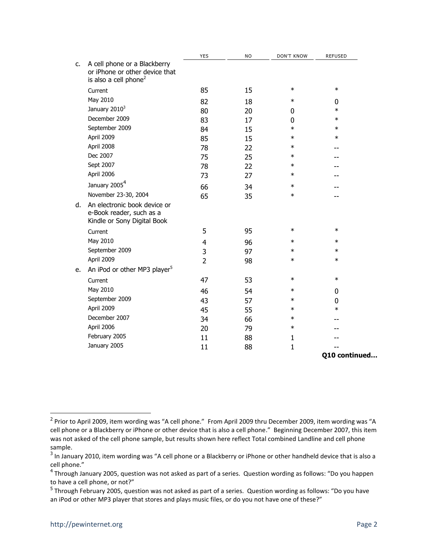|    |                                                                                                     | <b>YES</b>     | <b>NO</b> | <b>DON'T KNOW</b> | <b>REFUSED</b> |
|----|-----------------------------------------------------------------------------------------------------|----------------|-----------|-------------------|----------------|
| C. | A cell phone or a Blackberry<br>or iPhone or other device that<br>is also a cell phone <sup>2</sup> |                |           |                   |                |
|    | Current                                                                                             | 85             | 15        | $\ast$            | $\ast$         |
|    | May 2010                                                                                            | 82             | 18        | $\ast$            | 0              |
|    | January 2010 <sup>3</sup>                                                                           | 80             | 20        | 0                 | $\ast$         |
|    | December 2009                                                                                       | 83             | 17        | 0                 | $\ast$         |
|    | September 2009                                                                                      | 84             | 15        | $\ast$            | $\ast$         |
|    | April 2009                                                                                          | 85             | 15        | $\ast$            | $\ast$         |
|    | April 2008                                                                                          | 78             | 22        | $\ast$            |                |
|    | Dec 2007                                                                                            | 75             | 25        | $\ast$            |                |
|    | Sept 2007                                                                                           | 78             | 22        | $\ast$            |                |
|    | April 2006                                                                                          | 73             | 27        | $\ast$            |                |
|    | January 2005 <sup>4</sup>                                                                           | 66             | 34        | $\ast$            |                |
|    | November 23-30, 2004                                                                                | 65             | 35        | $\ast$            |                |
| d. | An electronic book device or<br>e-Book reader, such as a<br>Kindle or Sony Digital Book             |                |           |                   |                |
|    | Current                                                                                             | 5              | 95        | $\ast$            | $\ast$         |
|    | May 2010                                                                                            | 4              | 96        | $\ast$            | $\ast$         |
|    | September 2009                                                                                      | 3              | 97        | $\ast$            | $\ast$         |
|    | April 2009                                                                                          | $\overline{2}$ | 98        | $\ast$            | $\ast$         |
| e. | An iPod or other MP3 player <sup>5</sup>                                                            |                |           |                   |                |
|    | Current                                                                                             | 47             | 53        | $\ast$            | $\ast$         |
|    | May 2010                                                                                            | 46             | 54        | $\ast$            | 0              |
|    | September 2009                                                                                      | 43             | 57        | $\ast$            | 0              |
|    | April 2009                                                                                          | 45             | 55        | $\ast$            | $\ast$         |
|    | December 2007                                                                                       | 34             | 66        | $\ast$            |                |
|    | April 2006                                                                                          | 20             | 79        | $\ast$            |                |
|    | February 2005                                                                                       | 11             | 88        | 1                 |                |
|    | January 2005                                                                                        | 11             | 88        | $\mathbf{1}$      |                |
|    |                                                                                                     |                |           |                   | Q10 continued  |

 2 Prior to April 2009, item wording was "A cell phone." From April 2009 thru December 2009, item wording was "A cell phone or a Blackberry or iPhone or other device that is also a cell phone." Beginning December 2007, this item was not asked of the cell phone sample, but results shown here reflect Total combined Landline and cell phone sample.

 $^3$  In January 2010, item wording was "A cell phone or a Blackberry or iPhone or other handheld device that is also a cell phone."

<sup>&</sup>lt;sup>4</sup> Through January 2005, question was not asked as part of a series. Question wording as follows: "Do you happen to have a cell phone, or not?"

<sup>&</sup>lt;sup>5</sup> Through February 2005, question was not asked as part of a series. Question wording as follows: "Do you have an iPod or other MP3 player that stores and plays music files, or do you not have one of these?"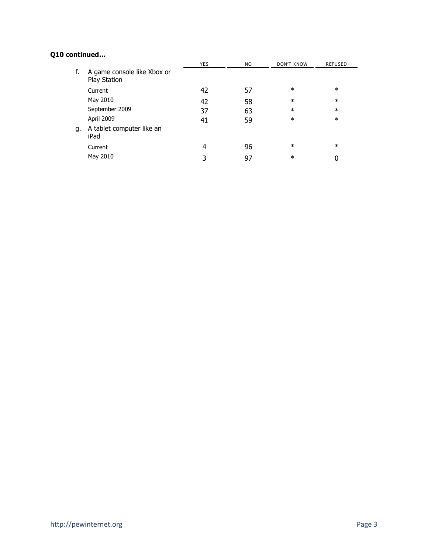## **Q10 continued…**

|    |                                             | <b>YES</b> | NO. | <b>DON'T KNOW</b> | <b>REFUSED</b> |  |
|----|---------------------------------------------|------------|-----|-------------------|----------------|--|
| f. | A game console like Xbox or<br>Play Station |            |     |                   |                |  |
|    | Current                                     | 42         | 57  | $\ast$            | $\ast$         |  |
|    | May 2010                                    | 42         | 58  | $\ast$            | $\ast$         |  |
|    | September 2009                              | 37         | 63  | $\ast$            | $\ast$         |  |
|    | April 2009                                  | 41         | 59  | $\ast$            | $\ast$         |  |
| g. | A tablet computer like an<br>iPad           |            |     |                   |                |  |
|    | Current                                     | 4          | 96  | $\ast$            | $\ast$         |  |
|    | May 2010                                    |            | 97  | $\ast$            |                |  |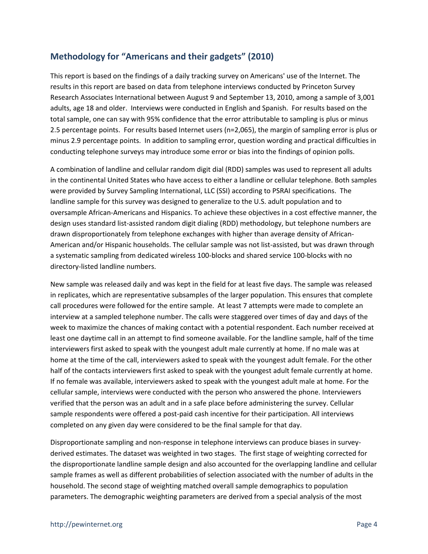## **Methodology for "Americans and their gadgets" (2010)**

This report is based on the findings of a daily tracking survey on Americans' use of the Internet. The results in this report are based on data from telephone interviews conducted by Princeton Survey Research Associates International between August 9 and September 13, 2010, among a sample of 3,001 adults, age 18 and older. Interviews were conducted in English and Spanish. For results based on the total sample, one can say with 95% confidence that the error attributable to sampling is plus or minus 2.5 percentage points. For results based Internet users (n=2,065), the margin of sampling error is plus or minus 2.9 percentage points. In addition to sampling error, question wording and practical difficulties in conducting telephone surveys may introduce some error or bias into the findings of opinion polls.

A combination of landline and cellular random digit dial (RDD) samples was used to represent all adults in the continental United States who have access to either a landline or cellular telephone. Both samples were provided by Survey Sampling International, LLC (SSI) according to PSRAI specifications. The landline sample for this survey was designed to generalize to the U.S. adult population and to oversample African-Americans and Hispanics. To achieve these objectives in a cost effective manner, the design uses standard list-assisted random digit dialing (RDD) methodology, but telephone numbers are drawn disproportionately from telephone exchanges with higher than average density of African-American and/or Hispanic households. The cellular sample was not list-assisted, but was drawn through a systematic sampling from dedicated wireless 100-blocks and shared service 100-blocks with no directory-listed landline numbers.

New sample was released daily and was kept in the field for at least five days. The sample was released in replicates, which are representative subsamples of the larger population. This ensures that complete call procedures were followed for the entire sample. At least 7 attempts were made to complete an interview at a sampled telephone number. The calls were staggered over times of day and days of the week to maximize the chances of making contact with a potential respondent. Each number received at least one daytime call in an attempt to find someone available. For the landline sample, half of the time interviewers first asked to speak with the youngest adult male currently at home. If no male was at home at the time of the call, interviewers asked to speak with the youngest adult female. For the other half of the contacts interviewers first asked to speak with the youngest adult female currently at home. If no female was available, interviewers asked to speak with the youngest adult male at home. For the cellular sample, interviews were conducted with the person who answered the phone. Interviewers verified that the person was an adult and in a safe place before administering the survey. Cellular sample respondents were offered a post-paid cash incentive for their participation. All interviews completed on any given day were considered to be the final sample for that day.

Disproportionate sampling and non-response in telephone interviews can produce biases in surveyderived estimates. The dataset was weighted in two stages. The first stage of weighting corrected for the disproportionate landline sample design and also accounted for the overlapping landline and cellular sample frames as well as different probabilities of selection associated with the number of adults in the household. The second stage of weighting matched overall sample demographics to population parameters. The demographic weighting parameters are derived from a special analysis of the most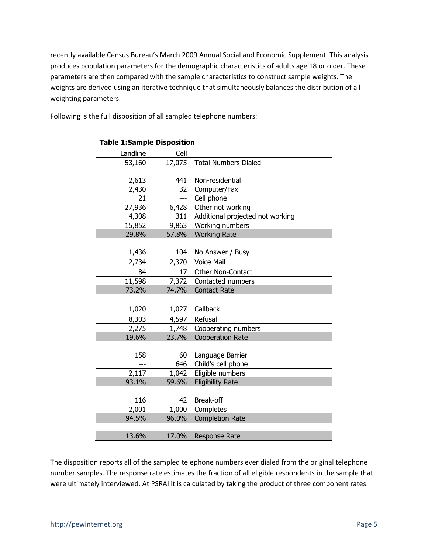recently available Census Bureau's March 2009 Annual Social and Economic Supplement. This analysis produces population parameters for the demographic characteristics of adults age 18 or older. These parameters are then compared with the sample characteristics to construct sample weights. The weights are derived using an iterative technique that simultaneously balances the distribution of all weighting parameters.

| <b>Table 1:Sample Disposition</b> |        |                                  |  |
|-----------------------------------|--------|----------------------------------|--|
| Landline                          | Cell   |                                  |  |
| 53,160                            | 17,075 | <b>Total Numbers Dialed</b>      |  |
|                                   |        |                                  |  |
| 2,613                             | 441    | Non-residential                  |  |
| 2,430                             | 32     | Computer/Fax                     |  |
| 21                                | ---    | Cell phone                       |  |
| 27,936                            | 6,428  | Other not working                |  |
| 4,308                             | 311    | Additional projected not working |  |
| 15,852                            | 9,863  | Working numbers                  |  |
| 29.8%                             | 57.8%  | <b>Working Rate</b>              |  |
|                                   |        |                                  |  |
| 1,436                             | 104    | No Answer / Busy                 |  |
| 2,734                             | 2,370  | <b>Voice Mail</b>                |  |
| 84                                | 17     | Other Non-Contact                |  |
| 11,598                            | 7,372  | Contacted numbers                |  |
| 73.2%                             | 74.7%  | <b>Contact Rate</b>              |  |
|                                   |        |                                  |  |
| 1,020                             | 1,027  | Callback                         |  |
| 8,303                             | 4,597  | Refusal                          |  |
| 2,275                             | 1,748  | Cooperating numbers              |  |
| 19.6%                             | 23.7%  | <b>Cooperation Rate</b>          |  |
|                                   |        |                                  |  |
| 158                               | 60     | Language Barrier                 |  |
|                                   | 646    | Child's cell phone               |  |
| 2,117                             | 1,042  | Eligible numbers                 |  |
| 93.1%                             | 59.6%  | <b>Eligibility Rate</b>          |  |
|                                   |        |                                  |  |
| 116                               | 42     | Break-off                        |  |
| 2,001                             | 1,000  | Completes                        |  |
| 94.5%                             | 96.0%  | <b>Completion Rate</b>           |  |
|                                   |        |                                  |  |
| 13.6%                             | 17.0%  | <b>Response Rate</b>             |  |

Following is the full disposition of all sampled telephone numbers:

The disposition reports all of the sampled telephone numbers ever dialed from the original telephone number samples. The response rate estimates the fraction of all eligible respondents in the sample that were ultimately interviewed. At PSRAI it is calculated by taking the product of three component rates: